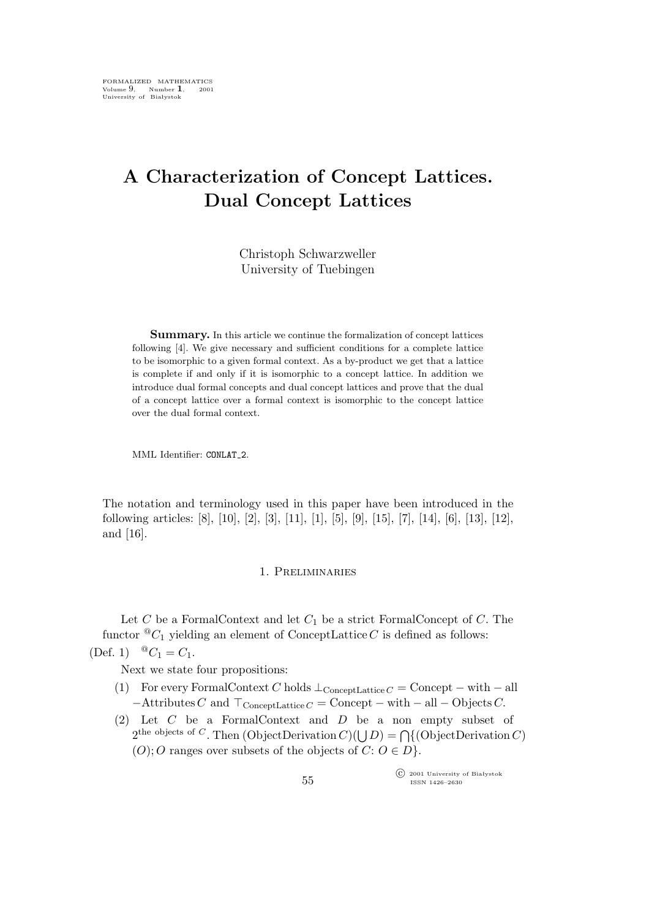# **A Characterization of Concept Lattices. Dual Concept Lattices**

Christoph Schwarzweller University of Tuebingen

**Summary.** In this article we continue the formalization of concept lattices following [4]. We give necessary and sufficient conditions for a complete lattice to be isomorphic to a given formal context. As a by-product we get that a lattice is complete if and only if it is isomorphic to a concept lattice. In addition we introduce dual formal concepts and dual concept lattices and prove that the dual of a concept lattice over a formal context is isomorphic to the concept lattice over the dual formal context.

MML Identifier: CONLAT<sub>-2</sub>.

The notation and terminology used in this paper have been introduced in the following articles: [8], [10], [2], [3], [11], [1], [5], [9], [15], [7], [14], [6], [13], [12], and [16].

### 1. Preliminaries

Let  $C$  be a FormalContext and let  $C_1$  be a strict FormalConcept of  $C$ . The functor  ${}^@C_1$  yielding an element of ConceptLattice C is defined as follows: (Def. 1)  ${}^{\circ\circ}C_1 = C_1$ .

Next we state four propositions:

- (1) For every FormalContext C holds  $\perp_{\text{ConceptLattice }C} = \text{Concept} \text{with } \text{all}$  $-$ Attributes C and  $\top_{\text{ConceptLattice }C} = \text{Concept} - \text{with } -\text{all } -\text{Objects } C.$
- (2) Let C be a FormalContext and D be a non empty subset of 2<sup>the objects of C. Then (ObjectDerivation C)( $\bigcup D$ ) =  $\bigcap$ {(ObjectDerivation C)</sup>  $(O)$ ; O ranges over subsets of the objects of  $C: O \in D$ .

°c 2001 University of Białystok ISSN 1426–2630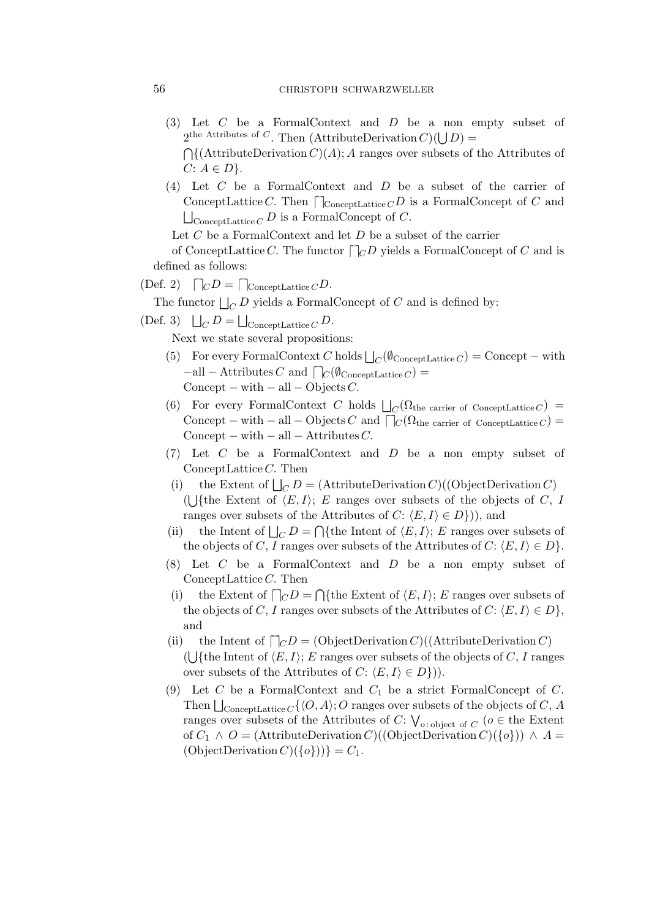### 56 christoph schwarzweller

- (3) Let C be a FormalContext and D be a non empty subset of  $2^{\text{the Attributes of } C}$ . Then (AttributeDerivation  $C(\bigcup D)$ ) =  $\bigcap \{(\text{AttributeDerivation } C)(A); A \text{ ranges over subsets of the Attributes of }\}\$  $C: A ∈ D$ }.
- (4) Let C be a FormalContext and D be a subset of the carrier of ConceptLattice C. Then  $\bigcap_{\text{ConceptLattice } C} D$  is a FormalConcept of C and  $\bigsqcup_{\text{ConceptLattice } C} D \text{ is a FormalConcept of } C.$

Let  $C$  be a FormalContext and let  $D$  be a subset of the carrier

of ConceptLattice C. The functor  $\bigcap_{C} D$  yields a FormalConcept of C and is defined as follows:

## $(\text{Def. 2}) \quad \bigcap_C D = \bigcap_{\text{ConceptLattice } C} D.$

The functor  $\bigsqcup_C D$  yields a FormalConcept of C and is defined by:

(Def. 3)  $\bigsqcup_C D = \bigsqcup_{\text{ConceptLattice } C} D.$ 

Next we state several propositions:

- (5) For every FormalContext C holds  $\bigsqcup_{C}(\emptyset_{\text{ConceptLattice }C}) = \text{Concept} \text{with}$ *−*all *−* Attributes C and  $\bigcap_C(\emptyset_{\text{ConceptLattice }C})$  = Concept *−* with *−* all *−* Objects C.
- (6) For every FormalContext C holds  $\Box_C(\Omega_{\text{the carrier of ConceptLattice }C})$  = Concept *−* with *−* all *−* Objects C and *⌈ −⌉*C(Ωthe carrier of ConceptLattice <sup>C</sup>) = Concept *−* with *−* all *−* Attributes C.
- (7) Let C be a FormalContext and D be a non empty subset of ConceptLattice C. Then
- (i) the Extent of  $\bigsqcup_C D = (\text{AttributeDerivation } C)((\text{ObjectDerivation } C)$ (U{the Extent of  $\langle E, I \rangle$ ; E ranges over subsets of the objects of C, I ranges over subsets of the Attributes of  $C: \langle E, I \rangle \in D$ }), and
- (ii) the Intent of  $\bigsqcup_C D = \bigcap \{$ the Intent of  $\langle E, I \rangle$ ; E ranges over subsets of the objects of C, I ranges over subsets of the Attributes of  $C: \langle E, I \rangle \in D$ .
- (8) Let C be a FormalContext and D be a non empty subset of ConceptLattice C. Then
- (i) the Extent of  $\bigcap_C D = \bigcap \{$ the Extent of  $\langle E, I \rangle$ ; E ranges over subsets of the objects of C, I ranges over subsets of the Attributes of C:  $\langle E, I \rangle \in D$ , and
- (ii) the Intent of  $\bigcap_C D = (\text{ObjectDerivation } C)((\text{AttributeDerivation } C)$ ( $\bigcup$ {the Intent of  $\langle E, I \rangle$ ; E ranges over subsets of the objects of C, I ranges over subsets of the Attributes of  $C: \langle E, I \rangle \in D$ }).
- (9) Let  $C$  be a FormalContext and  $C_1$  be a strict FormalConcept of  $C$ . Then  $\bigsqcup_{\text{ConceptLattice } C} \{ \langle O, A \rangle ; O \text{ ranges over subsets of the objects of } C, A \}$ ranges over subsets of the Attributes of  $C: V_{o:\text{object of }C}$  ( $o \in \text{the Extent}$ ) of  $C_1 \wedge O = (\text{AttributeDerivation } C)((\text{ObjectDerivation } C)(\{o\}) \wedge A =$  $(OobjectDerivation C)(\{o\})) = C_1.$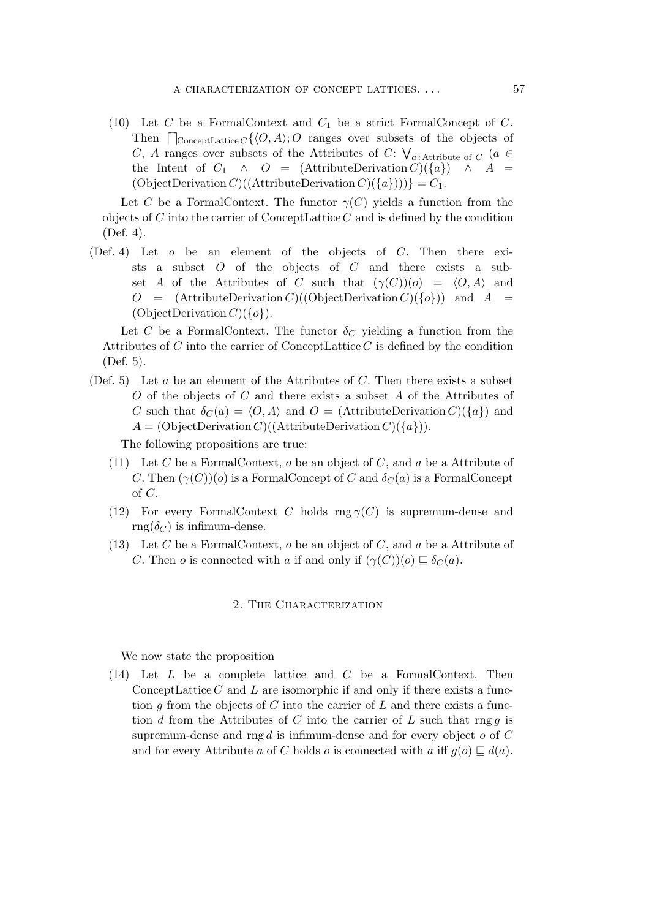(10) Let C be a FormalContext and  $C_1$  be a strict FormalConcept of C. Then  $\bigcap_{\text{ConceptLattice } C} \{ \langle O, A \rangle; O \text{ ranges over subsets of the objects of } \mathcal{L} \}$ C, A ranges over subsets of the Attributes of C:  $\bigvee_{a \,:\,\text{Attribute of } C} \,$  (a  $\in$ the Intent of  $C_1 \wedge O = (\text{AttributeDerivation } C)(\{a\}) \wedge A =$  $(ObjectDerivation C)((AttributeDerivation C)(\{a\})) = C_1.$ 

Let C be a FormalContext. The functor  $\gamma(C)$  yields a function from the objects of C into the carrier of ConceptLattice  $C$  and is defined by the condition (Def. 4).

(Def. 4) Let o be an element of the objects of C. Then there exists a subset  $O$  of the objects of  $C$  and there exists a subset A of the Attributes of C such that  $(\gamma(C))(o) = \langle O, A \rangle$  and  $O = (AttributeDerivation C)((ObjectDerivation C)(\{o\})$  and  $A =$ (ObjectDerivation C)(*{*o*}*).

Let C be a FormalContext. The functor  $\delta_C$  yielding a function from the Attributes of  $C$  into the carrier of ConceptLattice  $C$  is defined by the condition (Def. 5).

(Def. 5) Let  $a$  be an element of the Attributes of  $C$ . Then there exists a subset O of the objects of C and there exists a subset A of the Attributes of C such that  $\delta_C(a) = \langle O, A \rangle$  and  $O = (AttributeDerivation C)(\{a\})$  and  $A = (ObjectDerivation C)((AttributeDerivation C)(\{a\}).$ 

The following propositions are true:

- (11) Let C be a FormalContext,  $o$  be an object of C, and  $a$  be a Attribute of C. Then  $(\gamma(C))(o)$  is a FormalConcept of C and  $\delta_C(a)$  is a FormalConcept of C.
- (12) For every FormalContext C holds  $\text{rng } \gamma(C)$  is supremum-dense and  $\text{rng}(\delta_C)$  is infimum-dense.
- (13) Let C be a FormalContext,  $o$  be an object of C, and  $a$  be a Attribute of C. Then *o* is connected with *a* if and only if  $(\gamma(C))(o) \sqsubseteq \delta_C(a)$ .

### 2. THE CHARACTERIZATION

We now state the proposition

(14) Let L be a complete lattice and C be a FormalContext. Then ConceptLattice  $C$  and  $L$  are isomorphic if and only if there exists a function g from the objects of C into the carrier of L and there exists a function d from the Attributes of C into the carrier of L such that rng q is supremum-dense and rng  $d$  is infimum-dense and for every object  $o$  of  $C$ and for every Attribute a of C holds o is connected with a iff  $g(o) \sqsubseteq d(a)$ .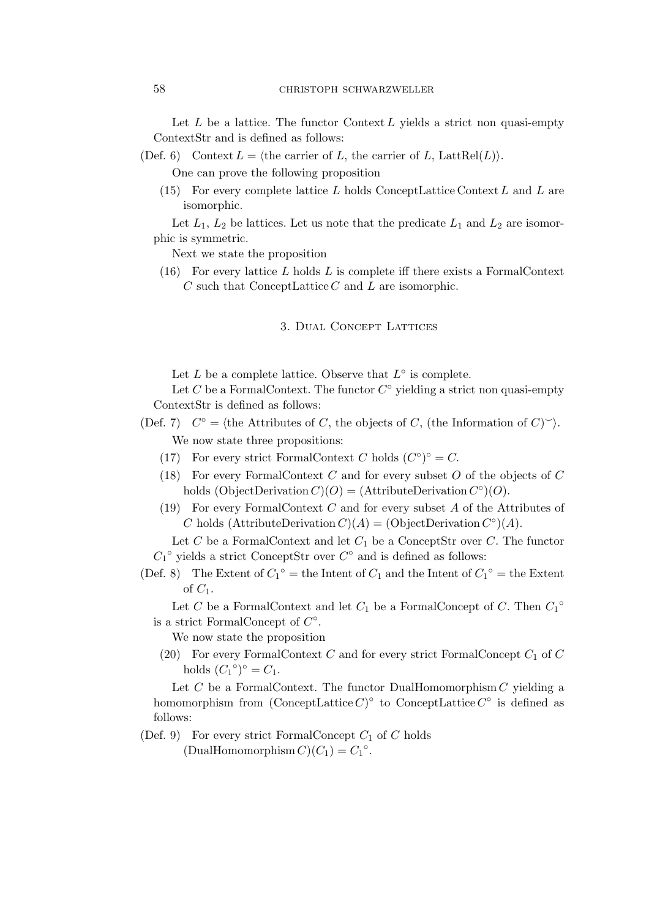Let  $L$  be a lattice. The functor Context  $L$  yields a strict non quasi-empty ContextStr and is defined as follows:

(Def. 6) Context  $L = \langle \text{the carrier of } L, \text{ the carrier of } L, \text{ LattRel}(L) \rangle$ .

One can prove the following proposition

(15) For every complete lattice  $L$  holds ConceptLattice Context  $L$  and  $L$  are isomorphic.

Let  $L_1, L_2$  be lattices. Let us note that the predicate  $L_1$  and  $L_2$  are isomorphic is symmetric.

Next we state the proposition

 $(16)$  For every lattice L holds L is complete iff there exists a FormalContext  $C$  such that ConceptLattice  $C$  and  $L$  are isomorphic.

3. Dual Concept Lattices

Let  $L$  be a complete lattice. Observe that  $L^{\circ}$  is complete.

Let C be a FormalContext. The functor  $C^{\circ}$  yielding a strict non quasi-empty ContextStr is defined as follows:

- (Def. 7)  $C^{\circ} = \{\text{the Attributes of } C, \text{ the objects of } C, \text{ (the Information of } C)^{\sim}\}.$ We now state three propositions:
	- (17) For every strict FormalContext C holds  $(C^{\circ})^{\circ} = C$ .
	- (18) For every FormalContext C and for every subset O of the objects of C holds  $(ObjectDerivation C)(O) = (AttributeDerivation C°)(O)$ .
	- (19) For every FormalContext C and for every subset A of the Attributes of C holds (AttributeDerivation  $C(A) = (\text{ObjectDerivation } C^{\circ}(A)$ .

Let  $C$  be a FormalContext and let  $C_1$  be a ConceptStr over  $C$ . The functor  $C_1^{\circ}$  yields a strict ConceptStr over  $C^{\circ}$  and is defined as follows:

(Def. 8) The Extent of  $C_1^{\circ}$  = the Intent of  $C_1$  and the Intent of  $C_1^{\circ}$  = the Extent of  $C_1$ .

Let C be a FormalContext and let  $C_1$  be a FormalConcept of C. Then  $C_1^{\circ}$ <sup> $\circ$ </sup> is a strict FormalConcept of C *◦* .

We now state the proposition

(20) For every FormalContext C and for every strict FormalConcept  $C_1$  of C holds  $(C_1^{\circ})^{\circ} = C_1$ .

Let  $C$  be a FormalContext. The functor DualHomomorphism  $C$  yielding a homomorphism from  $(\text{ConceptLattice } C)^\circ$  to  $\text{ConceptLattice } C^\circ$  is defined as follows:

(Def. 9) For every strict FormalConcept  $C_1$  of C holds

 $(DualHomomorphism C)(C_1) = C_1^\circ.$